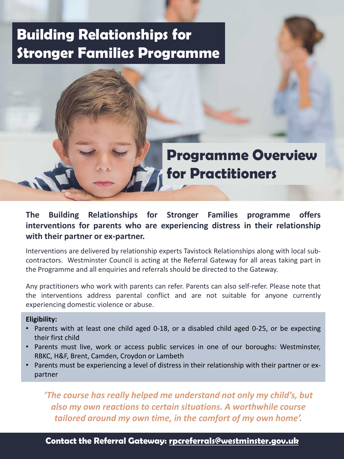# **Building Relationships for Stronger Families Programme**

# **Programme Overview for Practitioners**

### **The Building Relationships for Stronger Families programme offers interventions for parents who are experiencing distress in their relationship with their partner or ex-partner.**

Interventions are delivered by relationship experts Tavistock Relationships along with local subcontractors. Westminster Council is acting at the Referral Gateway for all areas taking part in the Programme and all enquiries and referrals should be directed to the Gateway.

Any practitioners who work with parents can refer. Parents can also self-refer. Please note that the interventions address parental conflict and are not suitable for anyone currently experiencing domestic violence or abuse.

#### **Eligibility:**

- Parents with at least one child aged 0-18, or a disabled child aged 0-25, or be expecting their first child
- Parents must live, work or access public services in one of our boroughs: Westminster, RBKC, H&F, Brent, Camden, Croydon or Lambeth
- Parents must be experiencing a level of distress in their relationship with their partner or expartner

*'The course has really helped me understand not only my child's, but also my own reactions to certain situations. A worthwhile course tailored around my own time, in the comfort of my own home'.*